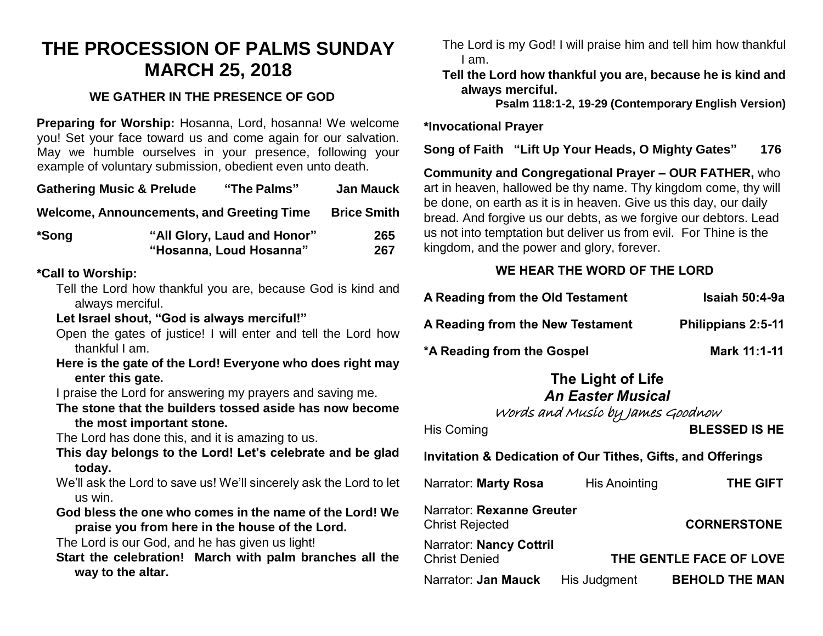# **THE PROCESSION OF PALMS SUNDAY MARCH 25, 2018**

# **WE GATHER IN THE PRESENCE OF GOD**

**Preparing for Worship:** Hosanna, Lord, hosanna! We welcome you! Set your face toward us and come again for our salvation. May we humble ourselves in your presence, following your example of voluntary submission, obedient even unto death.

| <b>Gathering Music &amp; Prelude</b>                                                                                                               |                                                                      | "The Palms"                                                                                                                                                                                                                                                                                                                                                                                                                                                                                                                                                                                                                                                                                                                                                                        | <b>Jan Mauck</b> |
|----------------------------------------------------------------------------------------------------------------------------------------------------|----------------------------------------------------------------------|------------------------------------------------------------------------------------------------------------------------------------------------------------------------------------------------------------------------------------------------------------------------------------------------------------------------------------------------------------------------------------------------------------------------------------------------------------------------------------------------------------------------------------------------------------------------------------------------------------------------------------------------------------------------------------------------------------------------------------------------------------------------------------|------------------|
| <b>Welcome, Announcements, and Greeting Time</b><br><b>Brice Smith</b>                                                                             |                                                                      |                                                                                                                                                                                                                                                                                                                                                                                                                                                                                                                                                                                                                                                                                                                                                                                    |                  |
| *Song                                                                                                                                              | "All Glory, Laud and Honor"<br>265<br>"Hosanna, Loud Hosanna"<br>267 |                                                                                                                                                                                                                                                                                                                                                                                                                                                                                                                                                                                                                                                                                                                                                                                    |                  |
| *Call to Worship:<br>always merciful.<br>thankful I am.<br>enter this gate.<br>the most important stone.<br>today.<br>us win.<br>way to the altar. |                                                                      | Tell the Lord how thankful you are, because God is kind and<br>Let Israel shout, "God is always merciful!"<br>Open the gates of justice! I will enter and tell the Lord how<br>Here is the gate of the Lord! Everyone who does right may<br>I praise the Lord for answering my prayers and saving me.<br>The stone that the builders tossed aside has now become<br>The Lord has done this, and it is amazing to us.<br>This day belongs to the Lord! Let's celebrate and be glad<br>We'll ask the Lord to save us! We'll sincerely ask the Lord to let<br>God bless the one who comes in the name of the Lord! We<br>praise you from here in the house of the Lord.<br>The Lord is our God, and he has given us light!<br>Start the celebration! March with palm branches all the |                  |

The Lord is my God! I will praise him and tell him how thankful I am.

**Tell the Lord how thankful you are, because he is kind and always merciful.**

**Psalm 118:1-2, 19-29 (Contemporary English Version)**

## **\*Invocational Prayer**

**Song of Faith "Lift Up Your Heads, O Mighty Gates" 176** 

**Community and Congregational Prayer – OUR FATHER,** who art in heaven, hallowed be thy name. Thy kingdom come, thy will be done, on earth as it is in heaven. Give us this day, our daily bread. And forgive us our debts, as we forgive our debtors. Lead us not into temptation but deliver us from evil. For Thine is the kingdom, and the power and glory, forever.

# **WE HEAR THE WORD OF THE LORD**

| A Reading from the Old Testament | <b>Isaiah 50:4-9a</b> |
|----------------------------------|-----------------------|
| A Reading from the New Testament | Philippians 2:5-11    |
| *A Reading from the Gospel       | Mark 11:1-11          |

#### **The Light of Life** *An Easter Musical*

Words and Music by James Goodnow

His Coming **BLESSED IS HE**

**Invitation & Dedication of Our Tithes, Gifts, and Offerings**

| Narrator: <b>Marty Rosa</b>                     | <b>His Anointing</b> | <b>THE GIFT</b>         |
|-------------------------------------------------|----------------------|-------------------------|
| Narrator: Rexanne Greuter<br>Christ Rejected    |                      | <b>CORNERSTONE</b>      |
| Narrator: Nancy Cottril<br><b>Christ Denied</b> |                      | THE GENTLE FACE OF LOVE |
| Narrator: <b>Jan Mauck</b> His Judgment         |                      | <b>BEHOLD THE MAN</b>   |